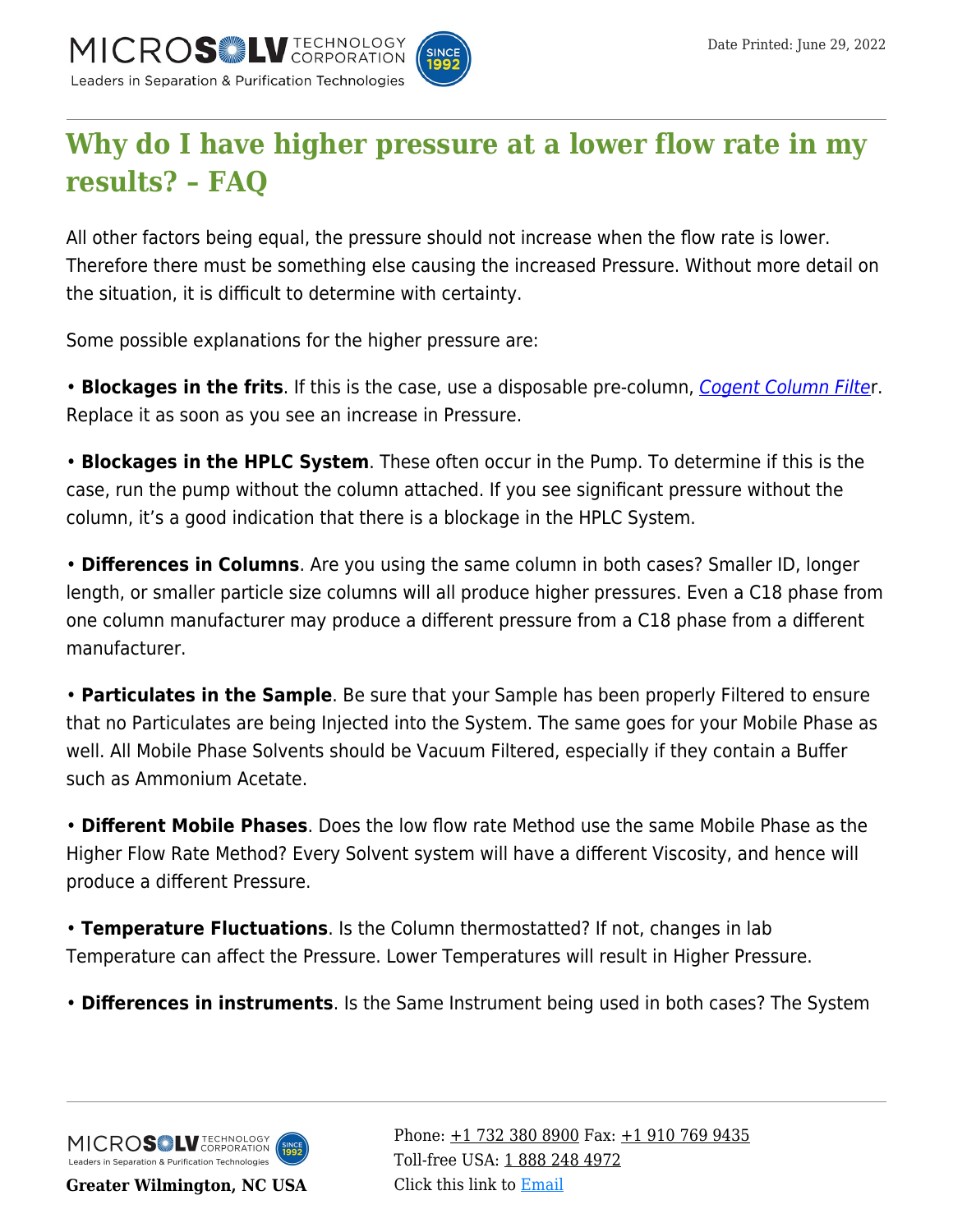

## **[Why do I have higher pressure at a lower flow rate in my](https://kb.mtc-usa.com/article/aa-02666/50/) [results? – FAQ](https://kb.mtc-usa.com/article/aa-02666/50/)**

All other factors being equal, the pressure should not increase when the flow rate is lower. Therefore there must be something else causing the increased Pressure. Without more detail on the situation, it is difficult to determine with certainty.

Some possible explanations for the higher pressure are:

• **Blockages in the frits**. If this is the case, use a disposable pre-column, [Cogent Column Filte](https://www.mtc-usa.com/category/id/379/cogent-column-filters)r. Replace it as soon as you see an increase in Pressure.

• **Blockages in the HPLC System**. These often occur in the Pump. To determine if this is the case, run the pump without the column attached. If you see significant pressure without the column, it's a good indication that there is a blockage in the HPLC System.

• **Differences in Columns**. Are you using the same column in both cases? Smaller ID, longer length, or smaller particle size columns will all produce higher pressures. Even a C18 phase from one column manufacturer may produce a different pressure from a C18 phase from a different manufacturer.

• **Particulates in the Sample**. Be sure that your Sample has been properly Filtered to ensure that no Particulates are being Injected into the System. The same goes for your Mobile Phase as well. All Mobile Phase Solvents should be Vacuum Filtered, especially if they contain a Buffer such as Ammonium Acetate.

• **Different Mobile Phases**. Does the low flow rate Method use the same Mobile Phase as the Higher Flow Rate Method? Every Solvent system will have a different Viscosity, and hence will produce a different Pressure.

• **Temperature Fluctuations**. Is the Column thermostatted? If not, changes in lab Temperature can affect the Pressure. Lower Temperatures will result in Higher Pressure.

• **Differences in instruments**. Is the Same Instrument being used in both cases? The System



**Greater Wilmington, NC USA**

Phone:  $\pm$ 1 732 380 8900 Fax:  $\pm$ 1 910 769 9435 Toll-free USA: [1 888 248 4972](#page--1-0) Click this link to [Email](https://www.mtc-usa.com/contact)